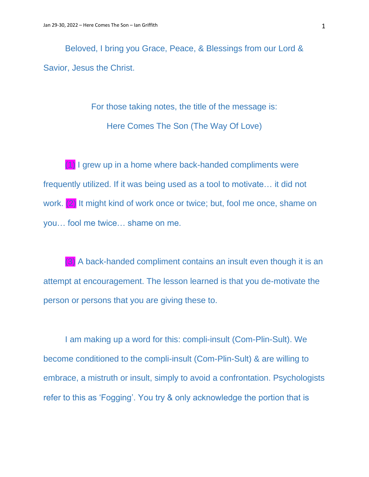Beloved, I bring you Grace, Peace, & Blessings from our Lord & Savior, Jesus the Christ.

> For those taking notes, the title of the message is: Here Comes The Son (The Way Of Love)

(1) I grew up in a home where back-handed compliments were frequently utilized. If it was being used as a tool to motivate… it did not work. (2) It might kind of work once or twice; but, fool me once, shame on you… fool me twice… shame on me.

(3) A back-handed compliment contains an insult even though it is an attempt at encouragement. The lesson learned is that you de-motivate the person or persons that you are giving these to.

I am making up a word for this: compli-insult (Com-Plin-Sult). We become conditioned to the compli-insult (Com-Plin-Sult) & are willing to embrace, a mistruth or insult, simply to avoid a confrontation. Psychologists refer to this as 'Fogging'. You try & only acknowledge the portion that is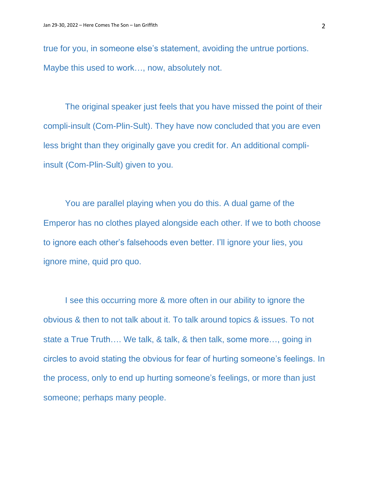true for you, in someone else's statement, avoiding the untrue portions. Maybe this used to work…, now, absolutely not.

The original speaker just feels that you have missed the point of their compli-insult (Com-Plin-Sult). They have now concluded that you are even less bright than they originally gave you credit for. An additional compliinsult (Com-Plin-Sult) given to you.

You are parallel playing when you do this. A dual game of the Emperor has no clothes played alongside each other. If we to both choose to ignore each other's falsehoods even better. I'll ignore your lies, you ignore mine, quid pro quo.

I see this occurring more & more often in our ability to ignore the obvious & then to not talk about it. To talk around topics & issues. To not state a True Truth…. We talk, & talk, & then talk, some more…, going in circles to avoid stating the obvious for fear of hurting someone's feelings. In the process, only to end up hurting someone's feelings, or more than just someone; perhaps many people.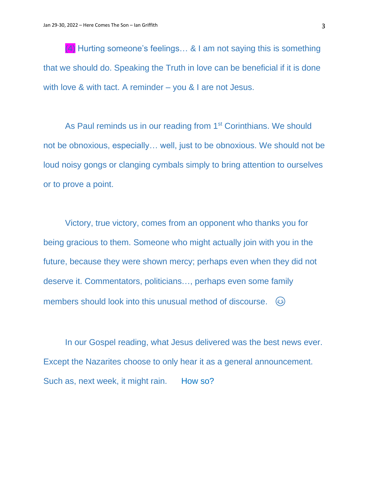$(4)$  Hurting someone's feelings... & I am not saying this is something that we should do. Speaking the Truth in love can be beneficial if it is done with love & with tact. A reminder – you & I are not Jesus.

As Paul reminds us in our reading from 1<sup>st</sup> Corinthians. We should not be obnoxious, especially… well, just to be obnoxious. We should not be loud noisy gongs or clanging cymbals simply to bring attention to ourselves or to prove a point.

Victory, true victory, comes from an opponent who thanks you for being gracious to them. Someone who might actually join with you in the future, because they were shown mercy; perhaps even when they did not deserve it. Commentators, politicians…, perhaps even some family members should look into this unusual method of discourse.  $\omega$ 

In our Gospel reading, what Jesus delivered was the best news ever. Except the Nazarites choose to only hear it as a general announcement. Such as, next week, it might rain. How so?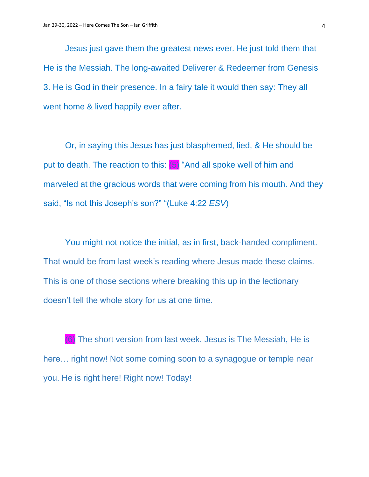Jesus just gave them the greatest news ever. He just told them that He is the Messiah. The long-awaited Deliverer & Redeemer from Genesis 3. He is God in their presence. In a fairy tale it would then say: They all went home & lived happily ever after.

Or, in saying this Jesus has just blasphemed, lied, & He should be put to death. The reaction to this:  $(5)$  "And all spoke well of him and marveled at the gracious words that were coming from his mouth. And they said, "Is not this Joseph's son?" "(Luke 4:22 *ESV*)

You might not notice the initial, as in first, back-handed compliment. That would be from last week's reading where Jesus made these claims. This is one of those sections where breaking this up in the lectionary doesn't tell the whole story for us at one time.

(6) The short version from last week. Jesus is The Messiah, He is here… right now! Not some coming soon to a synagogue or temple near you. He is right here! Right now! Today!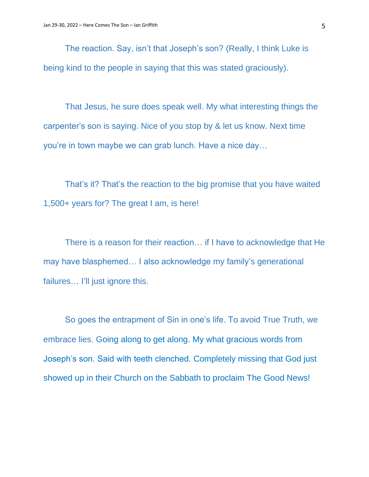The reaction. Say, isn't that Joseph's son? (Really, I think Luke is being kind to the people in saying that this was stated graciously).

That Jesus, he sure does speak well. My what interesting things the carpenter's son is saying. Nice of you stop by & let us know. Next time you're in town maybe we can grab lunch. Have a nice day…

That's it? That's the reaction to the big promise that you have waited 1,500+ years for? The great I am, is here!

There is a reason for their reaction… if I have to acknowledge that He may have blasphemed… I also acknowledge my family's generational failures... I'll just ignore this.

So goes the entrapment of Sin in one's life. To avoid True Truth, we embrace lies. Going along to get along. My what gracious words from Joseph's son. Said with teeth clenched. Completely missing that God just showed up in their Church on the Sabbath to proclaim The Good News!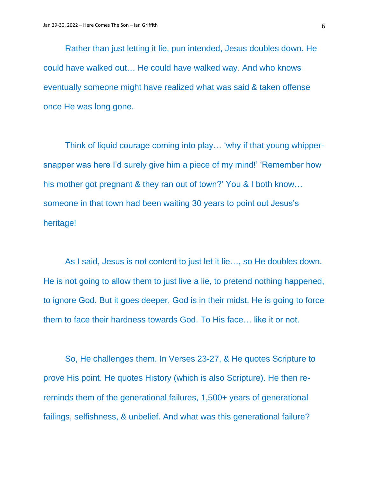Rather than just letting it lie, pun intended, Jesus doubles down. He could have walked out… He could have walked way. And who knows eventually someone might have realized what was said & taken offense once He was long gone.

Think of liquid courage coming into play… 'why if that young whippersnapper was here I'd surely give him a piece of my mind!' 'Remember how his mother got pregnant & they ran out of town?' You & I both know… someone in that town had been waiting 30 years to point out Jesus's heritage!

As I said, Jesus is not content to just let it lie…, so He doubles down. He is not going to allow them to just live a lie, to pretend nothing happened, to ignore God. But it goes deeper, God is in their midst. He is going to force them to face their hardness towards God. To His face… like it or not.

So, He challenges them. In Verses 23-27, & He quotes Scripture to prove His point. He quotes History (which is also Scripture). He then rereminds them of the generational failures, 1,500+ years of generational failings, selfishness, & unbelief. And what was this generational failure?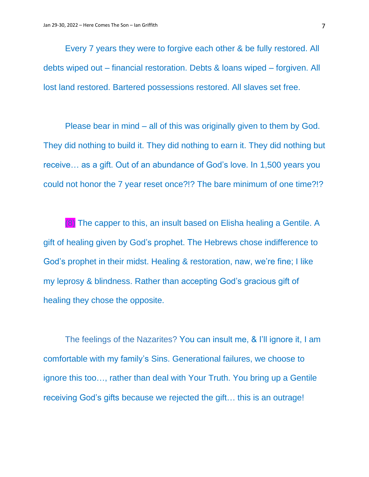Every 7 years they were to forgive each other & be fully restored. All debts wiped out – financial restoration. Debts & loans wiped – forgiven. All lost land restored. Bartered possessions restored. All slaves set free.

Please bear in mind – all of this was originally given to them by God. They did nothing to build it. They did nothing to earn it. They did nothing but receive… as a gift. Out of an abundance of God's love. In 1,500 years you could not honor the 7 year reset once?!? The bare minimum of one time?!?

(8) The capper to this, an insult based on Elisha healing a Gentile. A gift of healing given by God's prophet. The Hebrews chose indifference to God's prophet in their midst. Healing & restoration, naw, we're fine; I like my leprosy & blindness. Rather than accepting God's gracious gift of healing they chose the opposite.

The feelings of the Nazarites? You can insult me, & I'll ignore it, I am comfortable with my family's Sins. Generational failures, we choose to ignore this too…, rather than deal with Your Truth. You bring up a Gentile receiving God's gifts because we rejected the gift… this is an outrage!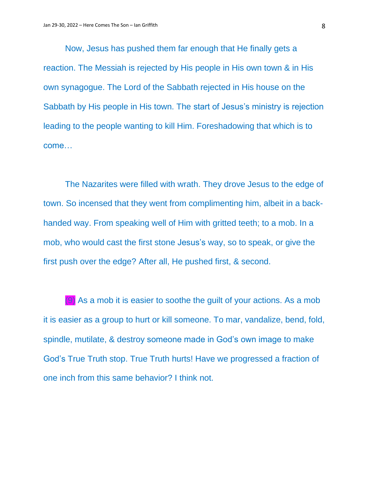Now, Jesus has pushed them far enough that He finally gets a reaction. The Messiah is rejected by His people in His own town & in His own synagogue. The Lord of the Sabbath rejected in His house on the Sabbath by His people in His town. The start of Jesus's ministry is rejection leading to the people wanting to kill Him. Foreshadowing that which is to come…

The Nazarites were filled with wrath. They drove Jesus to the edge of town. So incensed that they went from complimenting him, albeit in a backhanded way. From speaking well of Him with gritted teeth; to a mob. In a mob, who would cast the first stone Jesus's way, so to speak, or give the first push over the edge? After all, He pushed first, & second.

(9) As a mob it is easier to soothe the guilt of your actions. As a mob it is easier as a group to hurt or kill someone. To mar, vandalize, bend, fold, spindle, mutilate, & destroy someone made in God's own image to make God's True Truth stop. True Truth hurts! Have we progressed a fraction of one inch from this same behavior? I think not.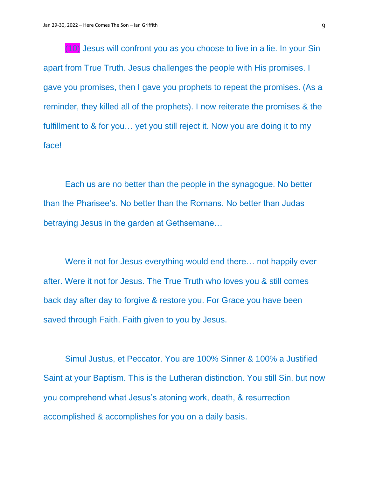(10) Jesus will confront you as you choose to live in a lie. In your Sin apart from True Truth. Jesus challenges the people with His promises. I gave you promises, then I gave you prophets to repeat the promises. (As a reminder, they killed all of the prophets). I now reiterate the promises & the fulfillment to & for you… yet you still reject it. Now you are doing it to my face!

Each us are no better than the people in the synagogue. No better than the Pharisee's. No better than the Romans. No better than Judas betraying Jesus in the garden at Gethsemane…

Were it not for Jesus everything would end there... not happily ever after. Were it not for Jesus. The True Truth who loves you & still comes back day after day to forgive & restore you. For Grace you have been saved through Faith. Faith given to you by Jesus.

Simul Justus, et Peccator. You are 100% Sinner & 100% a Justified Saint at your Baptism. This is the Lutheran distinction. You still Sin, but now you comprehend what Jesus's atoning work, death, & resurrection accomplished & accomplishes for you on a daily basis.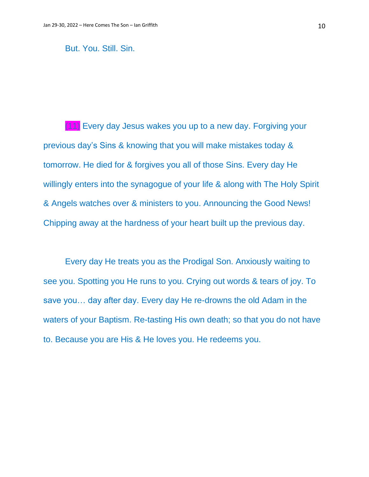But. You. Still. Sin.

(11) Every day Jesus wakes you up to a new day. Forgiving your previous day's Sins & knowing that you will make mistakes today & tomorrow. He died for & forgives you all of those Sins. Every day He willingly enters into the synagogue of your life & along with The Holy Spirit & Angels watches over & ministers to you. Announcing the Good News! Chipping away at the hardness of your heart built up the previous day.

Every day He treats you as the Prodigal Son. Anxiously waiting to see you. Spotting you He runs to you. Crying out words & tears of joy. To save you… day after day. Every day He re-drowns the old Adam in the waters of your Baptism. Re-tasting His own death; so that you do not have to. Because you are His & He loves you. He redeems you.